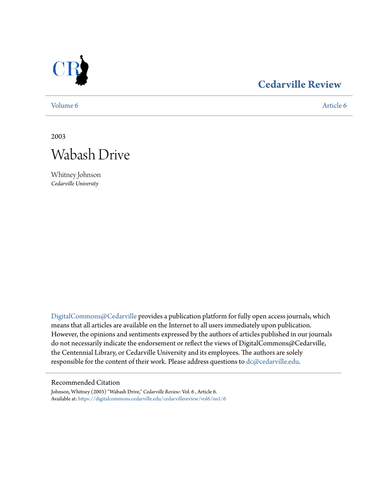

## **[Cedarville Review](https://digitalcommons.cedarville.edu/cedarvillereview?utm_source=digitalcommons.cedarville.edu%2Fcedarvillereview%2Fvol6%2Fiss1%2F6&utm_medium=PDF&utm_campaign=PDFCoverPages)**

[Volume 6](https://digitalcommons.cedarville.edu/cedarvillereview/vol6?utm_source=digitalcommons.cedarville.edu%2Fcedarvillereview%2Fvol6%2Fiss1%2F6&utm_medium=PDF&utm_campaign=PDFCoverPages) [Article 6](https://digitalcommons.cedarville.edu/cedarvillereview/vol6/iss1/6?utm_source=digitalcommons.cedarville.edu%2Fcedarvillereview%2Fvol6%2Fiss1%2F6&utm_medium=PDF&utm_campaign=PDFCoverPages)

2003



Whitney Johnson *Cedarville University*

[DigitalCommons@Cedarville](http://digitalcommons.cedarville.edu) provides a publication platform for fully open access journals, which means that all articles are available on the Internet to all users immediately upon publication. However, the opinions and sentiments expressed by the authors of articles published in our journals do not necessarily indicate the endorsement or reflect the views of DigitalCommons@Cedarville, the Centennial Library, or Cedarville University and its employees. The authors are solely responsible for the content of their work. Please address questions to [dc@cedarville.edu](mailto:dc@cedarville.edu).

#### Recommended Citation

Johnson, Whitney (2003) "Wabash Drive," *Cedarville Review*: Vol. 6 , Article 6. Available at: [https://digitalcommons.cedarville.edu/cedarvillereview/vol6/iss1/6](https://digitalcommons.cedarville.edu/cedarvillereview/vol6/iss1/6?utm_source=digitalcommons.cedarville.edu%2Fcedarvillereview%2Fvol6%2Fiss1%2F6&utm_medium=PDF&utm_campaign=PDFCoverPages)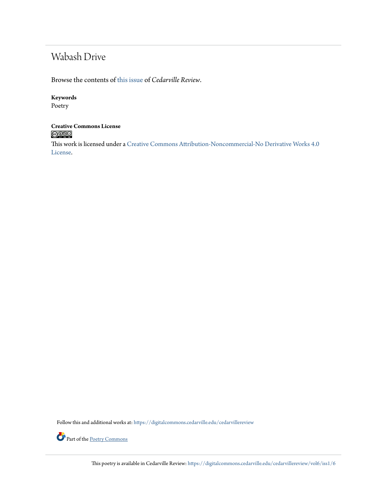# Wabash Drive

Browse the contents of [this issue](https://digitalcommons.cedarville.edu/cedarvillereview/vol6/iss1) of *Cedarville Review*.

### **Keywords**

Poetry

### **Creative Commons License**  $\bigcirc$  000

This work is licensed under a [Creative Commons Attribution-Noncommercial-No Derivative Works 4.0](http://creativecommons.org/licenses/by-nc-nd/4.0/) [License.](http://creativecommons.org/licenses/by-nc-nd/4.0/)

Follow this and additional works at: [https://digitalcommons.cedarville.edu/cedarvillereview](https://digitalcommons.cedarville.edu/cedarvillereview?utm_source=digitalcommons.cedarville.edu%2Fcedarvillereview%2Fvol6%2Fiss1%2F6&utm_medium=PDF&utm_campaign=PDFCoverPages)



Part of the <u>[Poetry Commons](http://network.bepress.com/hgg/discipline/1153?utm_source=digitalcommons.cedarville.edu%2Fcedarvillereview%2Fvol6%2Fiss1%2F6&utm_medium=PDF&utm_campaign=PDFCoverPages)</u>

This poetry is available in Cedarville Review: [https://digitalcommons.cedarville.edu/cedarvillereview/vol6/iss1/6](https://digitalcommons.cedarville.edu/cedarvillereview/vol6/iss1/6?utm_source=digitalcommons.cedarville.edu%2Fcedarvillereview%2Fvol6%2Fiss1%2F6&utm_medium=PDF&utm_campaign=PDFCoverPages)